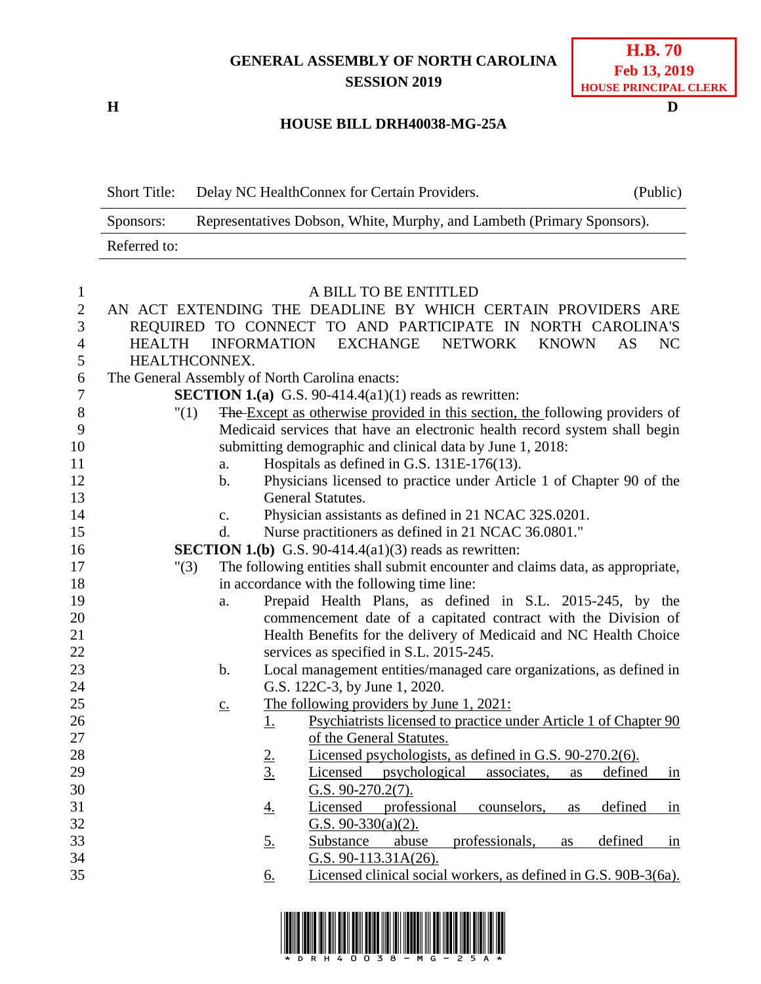## **GENERAL ASSEMBLY OF NORTH CAROLINA SESSION 2019**

**H D**

## **HOUSE BILL DRH40038-MG-25A**

Short Title: Delay NC HealthConnex for Certain Providers. (Public)

|                  | Representatives Dobson, White, Murphy, and Lambeth (Primary Sponsors).<br>Sponsors:                                                     |                                                                                                     |  |
|------------------|-----------------------------------------------------------------------------------------------------------------------------------------|-----------------------------------------------------------------------------------------------------|--|
|                  | Referred to:                                                                                                                            |                                                                                                     |  |
|                  |                                                                                                                                         |                                                                                                     |  |
| $\mathbf{1}$     |                                                                                                                                         | A BILL TO BE ENTITLED                                                                               |  |
| $\boldsymbol{2}$ |                                                                                                                                         | AN ACT EXTENDING THE DEADLINE BY WHICH CERTAIN PROVIDERS ARE                                        |  |
| 3                |                                                                                                                                         | REQUIRED TO CONNECT TO AND PARTICIPATE IN NORTH CAROLINA'S                                          |  |
| $\overline{4}$   | EXCHANGE NETWORK<br><b>HEALTH</b><br><b>INFORMATION</b><br><b>KNOWN</b><br>NC<br>AS                                                     |                                                                                                     |  |
| 5                | HEALTHCONNEX.                                                                                                                           |                                                                                                     |  |
| 6                | The General Assembly of North Carolina enacts:                                                                                          |                                                                                                     |  |
| 7                | <b>SECTION 1.(a)</b> G.S. 90-414.4(a1)(1) reads as rewritten:                                                                           |                                                                                                     |  |
| 8                | "(1)                                                                                                                                    | The Except as otherwise provided in this section, the following providers of                        |  |
| 9                | Medicaid services that have an electronic health record system shall begin<br>submitting demographic and clinical data by June 1, 2018: |                                                                                                     |  |
| 10<br>11         |                                                                                                                                         | Hospitals as defined in G.S. 131E-176(13).                                                          |  |
| 12               | a.<br>$\mathbf b$ .                                                                                                                     | Physicians licensed to practice under Article 1 of Chapter 90 of the                                |  |
| 13               |                                                                                                                                         | General Statutes.                                                                                   |  |
| 14               | c.                                                                                                                                      | Physician assistants as defined in 21 NCAC 32S.0201.                                                |  |
| 15               | d.                                                                                                                                      | Nurse practitioners as defined in 21 NCAC 36.0801."                                                 |  |
| 16               |                                                                                                                                         | <b>SECTION 1.(b)</b> G.S. 90-414.4(a1)(3) reads as rewritten:                                       |  |
| 17               | "(3)                                                                                                                                    | The following entities shall submit encounter and claims data, as appropriate,                      |  |
| 18               |                                                                                                                                         | in accordance with the following time line:                                                         |  |
| 19               | a.                                                                                                                                      | Prepaid Health Plans, as defined in S.L. 2015-245, by the                                           |  |
| 20               |                                                                                                                                         | commencement date of a capitated contract with the Division of                                      |  |
| 21               |                                                                                                                                         | Health Benefits for the delivery of Medicaid and NC Health Choice                                   |  |
| 22               |                                                                                                                                         | services as specified in S.L. 2015-245.                                                             |  |
| 23               | $\mathbf b$ .                                                                                                                           | Local management entities/managed care organizations, as defined in                                 |  |
| 24               |                                                                                                                                         | G.S. 122C-3, by June 1, 2020.                                                                       |  |
| 25               | $\underline{c}$ .                                                                                                                       | The following providers by June 1, 2021:                                                            |  |
| 26               |                                                                                                                                         | Psychiatrists licensed to practice under Article 1 of Chapter 90<br><u>1.</u>                       |  |
| 27               |                                                                                                                                         | of the General Statutes.                                                                            |  |
| 28               |                                                                                                                                         | Licensed psychologists, as defined in G.S. 90-270.2(6).                                             |  |
| 29               |                                                                                                                                         | $\frac{2}{3}$<br>defined<br>Licensed psychological<br>associates,<br>as<br>in                       |  |
| 30               |                                                                                                                                         | G.S. $90-270.2(7)$ .                                                                                |  |
| 31               |                                                                                                                                         | professional<br>defined<br>Licensed<br>counselors,<br><u>4.</u><br>in<br>as                         |  |
| 32               |                                                                                                                                         | G.S. $90-330(a)(2)$ .                                                                               |  |
| 33               |                                                                                                                                         | professionals,<br>Substance<br>abuse<br>defined<br><u>5.</u><br>as<br>$\frac{\text{in}}{\text{in}}$ |  |
| 34               |                                                                                                                                         | G.S. 90-113.31A(26).                                                                                |  |
| 35               |                                                                                                                                         | Licensed clinical social workers, as defined in G.S. 90B-3(6a).<br><u>6.</u>                        |  |
|                  |                                                                                                                                         |                                                                                                     |  |